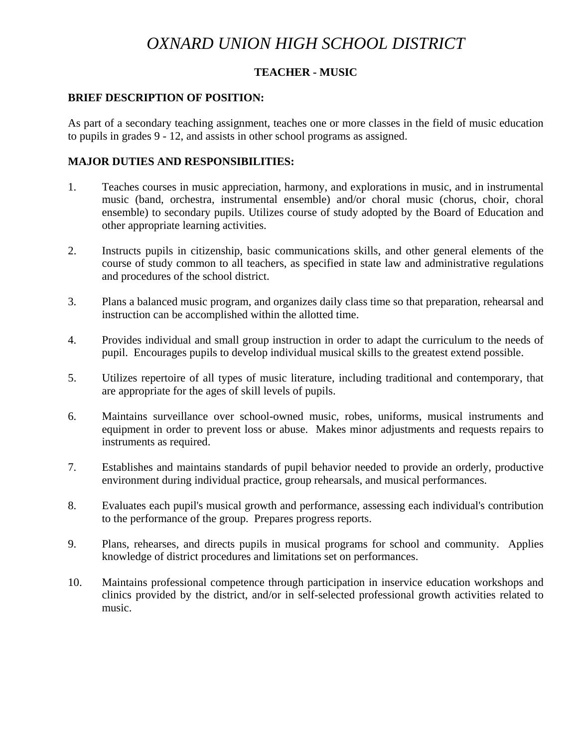# *OXNARD UNION HIGH SCHOOL DISTRICT*

# **TEACHER - MUSIC**

#### **BRIEF DESCRIPTION OF POSITION:**

As part of a secondary teaching assignment, teaches one or more classes in the field of music education to pupils in grades 9 - 12, and assists in other school programs as assigned.

#### **MAJOR DUTIES AND RESPONSIBILITIES:**

- 1. Teaches courses in music appreciation, harmony, and explorations in music, and in instrumental music (band, orchestra, instrumental ensemble) and/or choral music (chorus, choir, choral ensemble) to secondary pupils. Utilizes course of study adopted by the Board of Education and other appropriate learning activities.
- 2. Instructs pupils in citizenship, basic communications skills, and other general elements of the course of study common to all teachers, as specified in state law and administrative regulations and procedures of the school district.
- 3. Plans a balanced music program, and organizes daily class time so that preparation, rehearsal and instruction can be accomplished within the allotted time.
- 4. Provides individual and small group instruction in order to adapt the curriculum to the needs of pupil. Encourages pupils to develop individual musical skills to the greatest extend possible.
- 5. Utilizes repertoire of all types of music literature, including traditional and contemporary, that are appropriate for the ages of skill levels of pupils.
- 6. Maintains surveillance over school-owned music, robes, uniforms, musical instruments and equipment in order to prevent loss or abuse. Makes minor adjustments and requests repairs to instruments as required.
- 7. Establishes and maintains standards of pupil behavior needed to provide an orderly, productive environment during individual practice, group rehearsals, and musical performances.
- 8. Evaluates each pupil's musical growth and performance, assessing each individual's contribution to the performance of the group. Prepares progress reports.
- 9. Plans, rehearses, and directs pupils in musical programs for school and community. Applies knowledge of district procedures and limitations set on performances.
- 10. Maintains professional competence through participation in inservice education workshops and clinics provided by the district, and/or in self-selected professional growth activities related to music.